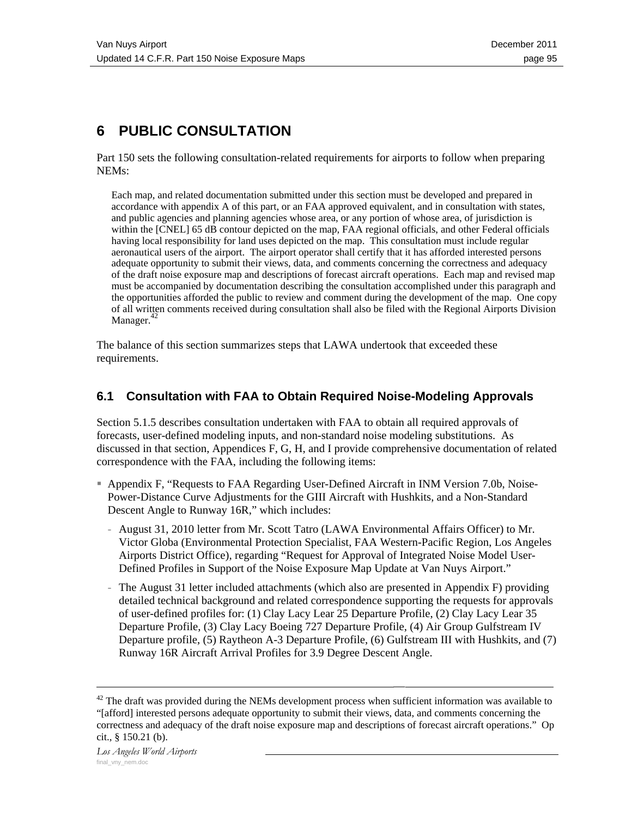# **6 PUBLIC CONSULTATION**

Part 150 sets the following consultation-related requirements for airports to follow when preparing NEMs:

Each map, and related documentation submitted under this section must be developed and prepared in accordance with appendix A of this part, or an FAA approved equivalent, and in consultation with states, and public agencies and planning agencies whose area, or any portion of whose area, of jurisdiction is within the [CNEL] 65 dB contour depicted on the map, FAA regional officials, and other Federal officials having local responsibility for land uses depicted on the map. This consultation must include regular aeronautical users of the airport. The airport operator shall certify that it has afforded interested persons adequate opportunity to submit their views, data, and comments concerning the correctness and adequacy of the draft noise exposure map and descriptions of forecast aircraft operations. Each map and revised map must be accompanied by documentation describing the consultation accomplished under this paragraph and the opportunities afforded the public to review and comment during the development of the map. One copy of all written comments received during consultation shall also be filed with the Regional Airports Division Manager. $42$ 

The balance of this section summarizes steps that LAWA undertook that exceeded these requirements.

### **6.1 Consultation with FAA to Obtain Required Noise-Modeling Approvals**

Section 5.1.5 describes consultation undertaken with FAA to obtain all required approvals of forecasts, user-defined modeling inputs, and non-standard noise modeling substitutions. As discussed in that section, Appendices F, G, H, and I provide comprehensive documentation of related correspondence with the FAA, including the following items:

- Appendix F, "Requests to FAA Regarding User-Defined Aircraft in INM Version 7.0b, Noise-Power-Distance Curve Adjustments for the GIII Aircraft with Hushkits, and a Non-Standard Descent Angle to Runway 16R," which includes:
	- August 31, 2010 letter from Mr. Scott Tatro (LAWA Environmental Affairs Officer) to Mr. Victor Globa (Environmental Protection Specialist, FAA Western-Pacific Region, Los Angeles Airports District Office), regarding "Request for Approval of Integrated Noise Model User-Defined Profiles in Support of the Noise Exposure Map Update at Van Nuys Airport."
	- The August 31 letter included attachments (which also are presented in Appendix F) providing detailed technical background and related correspondence supporting the requests for approvals of user-defined profiles for: (1) Clay Lacy Lear 25 Departure Profile, (2) Clay Lacy Lear 35 Departure Profile, (3) Clay Lacy Boeing 727 Departure Profile, (4) Air Group Gulfstream IV Departure profile, (5) Raytheon A-3 Departure Profile, (6) Gulfstream III with Hushkits, and (7) Runway 16R Aircraft Arrival Profiles for 3.9 Degree Descent Angle.

 $42$  The draft was provided during the NEMs development process when sufficient information was available to "[afford] interested persons adequate opportunity to submit their views, data, and comments concerning the correctness and adequacy of the draft noise exposure map and descriptions of forecast aircraft operations." Op cit., § 150.21 (b).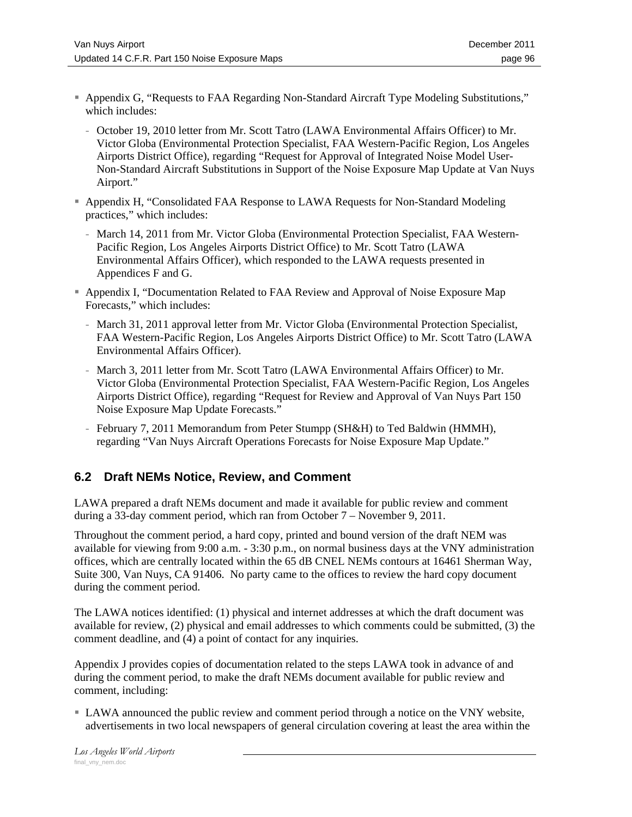- Appendix G, "Requests to FAA Regarding Non-Standard Aircraft Type Modeling Substitutions," which includes:
	- October 19, 2010 letter from Mr. Scott Tatro (LAWA Environmental Affairs Officer) to Mr. Victor Globa (Environmental Protection Specialist, FAA Western-Pacific Region, Los Angeles Airports District Office), regarding "Request for Approval of Integrated Noise Model User-Non-Standard Aircraft Substitutions in Support of the Noise Exposure Map Update at Van Nuys Airport."
- Appendix H, "Consolidated FAA Response to LAWA Requests for Non-Standard Modeling practices," which includes:
	- March 14, 2011 from Mr. Victor Globa (Environmental Protection Specialist, FAA Western-Pacific Region, Los Angeles Airports District Office) to Mr. Scott Tatro (LAWA Environmental Affairs Officer), which responded to the LAWA requests presented in Appendices F and G.
- Appendix I, "Documentation Related to FAA Review and Approval of Noise Exposure Map Forecasts," which includes:
	- March 31, 2011 approval letter from Mr. Victor Globa (Environmental Protection Specialist, FAA Western-Pacific Region, Los Angeles Airports District Office) to Mr. Scott Tatro (LAWA Environmental Affairs Officer).
	- March 3, 2011 letter from Mr. Scott Tatro (LAWA Environmental Affairs Officer) to Mr. Victor Globa (Environmental Protection Specialist, FAA Western-Pacific Region, Los Angeles Airports District Office), regarding "Request for Review and Approval of Van Nuys Part 150 Noise Exposure Map Update Forecasts."
	- February 7, 2011 Memorandum from Peter Stumpp (SH&H) to Ted Baldwin (HMMH), regarding "Van Nuys Aircraft Operations Forecasts for Noise Exposure Map Update."

# **6.2 Draft NEMs Notice, Review, and Comment**

LAWA prepared a draft NEMs document and made it available for public review and comment during a 33-day comment period, which ran from October 7 – November 9, 2011.

Throughout the comment period, a hard copy, printed and bound version of the draft NEM was available for viewing from 9:00 a.m. - 3:30 p.m., on normal business days at the VNY administration offices, which are centrally located within the 65 dB CNEL NEMs contours at 16461 Sherman Way, Suite 300, Van Nuys, CA 91406. No party came to the offices to review the hard copy document during the comment period.

The LAWA notices identified: (1) physical and internet addresses at which the draft document was available for review, (2) physical and email addresses to which comments could be submitted, (3) the comment deadline, and (4) a point of contact for any inquiries.

Appendix J provides copies of documentation related to the steps LAWA took in advance of and during the comment period, to make the draft NEMs document available for public review and comment, including:

 LAWA announced the public review and comment period through a notice on the VNY website, advertisements in two local newspapers of general circulation covering at least the area within the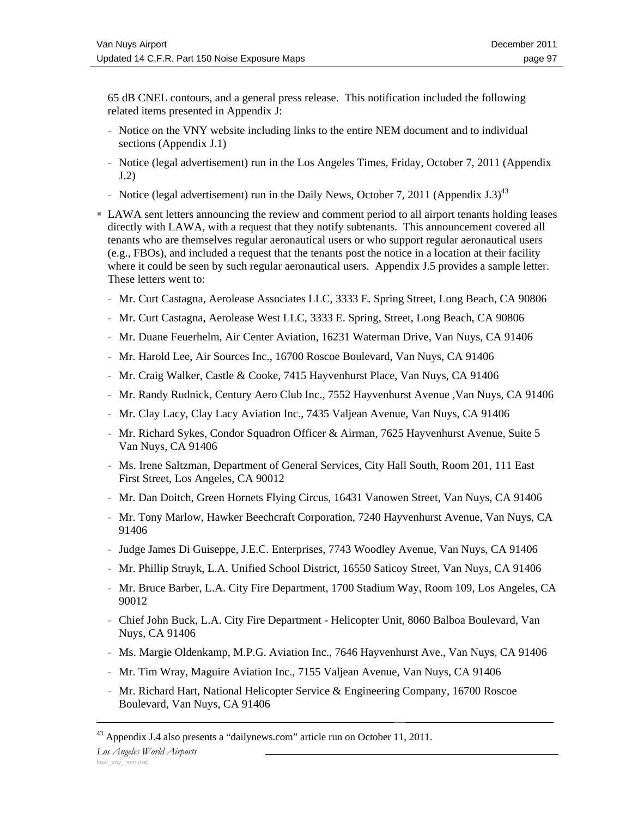65 dB CNEL contours, and a general press release. This notification included the following related items presented in Appendix J:

- Notice on the VNY website including links to the entire NEM document and to individual sections (Appendix J.1)
- Notice (legal advertisement) run in the Los Angeles Times, Friday, October 7, 2011 (Appendix J.2)
- Notice (legal advertisement) run in the Daily News, October 7, 2011 (Appendix J.3)<sup>43</sup>
- LAWA sent letters announcing the review and comment period to all airport tenants holding leases directly with LAWA, with a request that they notify subtenants. This announcement covered all tenants who are themselves regular aeronautical users or who support regular aeronautical users (e.g., FBOs), and included a request that the tenants post the notice in a location at their facility where it could be seen by such regular aeronautical users. Appendix J.5 provides a sample letter. These letters went to:
	- Mr. Curt Castagna, Aerolease Associates LLC, 3333 E. Spring Street, Long Beach, CA 90806
	- Mr. Curt Castagna, Aerolease West LLC, 3333 E. Spring, Street, Long Beach, CA 90806
	- Mr. Duane Feuerhelm, Air Center Aviation, 16231 Waterman Drive, Van Nuys, CA 91406
	- Mr. Harold Lee, Air Sources Inc., 16700 Roscoe Boulevard, Van Nuys, CA 91406
	- Mr. Craig Walker, Castle & Cooke, 7415 Hayvenhurst Place, Van Nuys, CA 91406
	- Mr. Randy Rudnick, Century Aero Club Inc., 7552 Hayvenhurst Avenue ,Van Nuys, CA 91406
	- Mr. Clay Lacy, Clay Lacy Aviation Inc., 7435 Valjean Avenue, Van Nuys, CA 91406
	- Mr. Richard Sykes, Condor Squadron Officer & Airman, 7625 Hayvenhurst Avenue, Suite 5 Van Nuys, CA 91406
	- Ms. Irene Saltzman, Department of General Services, City Hall South, Room 201, 111 East First Street, Los Angeles, CA 90012
	- Mr. Dan Doitch, Green Hornets Flying Circus, 16431 Vanowen Street, Van Nuys, CA 91406
	- Mr. Tony Marlow, Hawker Beechcraft Corporation, 7240 Hayvenhurst Avenue, Van Nuys, CA 91406
	- Judge James Di Guiseppe, J.E.C. Enterprises, 7743 Woodley Avenue, Van Nuys, CA 91406
	- Mr. Phillip Struyk, L.A. Unified School District, 16550 Saticoy Street, Van Nuys, CA 91406
	- Mr. Bruce Barber, L.A. City Fire Department, 1700 Stadium Way, Room 109, Los Angeles, CA 90012
	- Chief John Buck, L.A. City Fire Department Helicopter Unit, 8060 Balboa Boulevard, Van Nuys, CA 91406
	- Ms. Margie Oldenkamp, M.P.G. Aviation Inc., 7646 Hayvenhurst Ave., Van Nuys, CA 91406
	- Mr. Tim Wray, Maguire Aviation Inc., 7155 Valjean Avenue, Van Nuys, CA 91406
	- Mr. Richard Hart, National Helicopter Service & Engineering Company, 16700 Roscoe Boulevard, Van Nuys, CA 91406

 $43$  Appendix J.4 also presents a "dailynews.com" article run on October 11, 2011.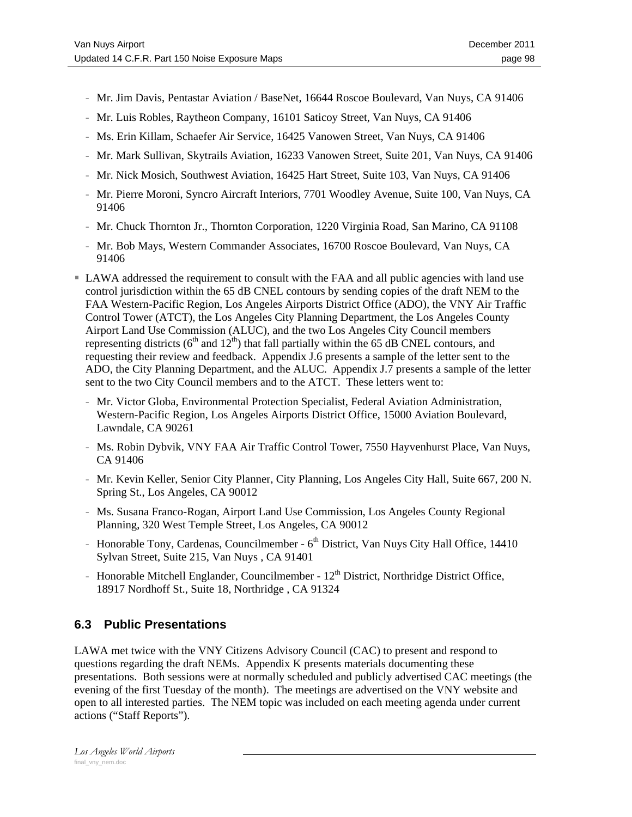- Mr. Jim Davis, Pentastar Aviation / BaseNet, 16644 Roscoe Boulevard, Van Nuys, CA 91406
- Mr. Luis Robles, Raytheon Company, 16101 Saticoy Street, Van Nuys, CA 91406
- Ms. Erin Killam, Schaefer Air Service, 16425 Vanowen Street, Van Nuys, CA 91406
- Mr. Mark Sullivan, Skytrails Aviation, 16233 Vanowen Street, Suite 201, Van Nuys, CA 91406
- Mr. Nick Mosich, Southwest Aviation, 16425 Hart Street, Suite 103, Van Nuys, CA 91406
- Mr. Pierre Moroni, Syncro Aircraft Interiors, 7701 Woodley Avenue, Suite 100, Van Nuys, CA 91406
- Mr. Chuck Thornton Jr., Thornton Corporation, 1220 Virginia Road, San Marino, CA 91108
- Mr. Bob Mays, Western Commander Associates, 16700 Roscoe Boulevard, Van Nuys, CA 91406
- LAWA addressed the requirement to consult with the FAA and all public agencies with land use control jurisdiction within the 65 dB CNEL contours by sending copies of the draft NEM to the FAA Western-Pacific Region, Los Angeles Airports District Office (ADO), the VNY Air Traffic Control Tower (ATCT), the Los Angeles City Planning Department, the Los Angeles County Airport Land Use Commission (ALUC), and the two Los Angeles City Council members representing districts ( $6<sup>th</sup>$  and  $12<sup>th</sup>$ ) that fall partially within the 65 dB CNEL contours, and requesting their review and feedback. Appendix J.6 presents a sample of the letter sent to the ADO, the City Planning Department, and the ALUC. Appendix J.7 presents a sample of the letter sent to the two City Council members and to the ATCT. These letters went to:
	- Mr. Victor Globa, Environmental Protection Specialist, Federal Aviation Administration, Western-Pacific Region, Los Angeles Airports District Office, 15000 Aviation Boulevard, Lawndale, CA 90261
	- Ms. Robin Dybvik, VNY FAA Air Traffic Control Tower, 7550 Hayvenhurst Place, Van Nuys, CA 91406
	- Mr. Kevin Keller, Senior City Planner, City Planning, Los Angeles City Hall, Suite 667, 200 N. Spring St., Los Angeles, CA 90012
	- Ms. Susana Franco-Rogan, Airport Land Use Commission, Los Angeles County Regional Planning, 320 West Temple Street, Los Angeles, CA 90012
	- Honorable Tony, Cardenas, Councilmember  $6<sup>th</sup>$  District, Van Nuys City Hall Office, 14410 Sylvan Street, Suite 215, Van Nuys , CA 91401
	- Honorable Mitchell Englander, Councilmember  $12<sup>th</sup>$  District, Northridge District Office, 18917 Nordhoff St., Suite 18, Northridge , CA 91324

# **6.3 Public Presentations**

LAWA met twice with the VNY Citizens Advisory Council (CAC) to present and respond to questions regarding the draft NEMs. Appendix K presents materials documenting these presentations. Both sessions were at normally scheduled and publicly advertised CAC meetings (the evening of the first Tuesday of the month). The meetings are advertised on the VNY website and open to all interested parties. The NEM topic was included on each meeting agenda under current actions ("Staff Reports").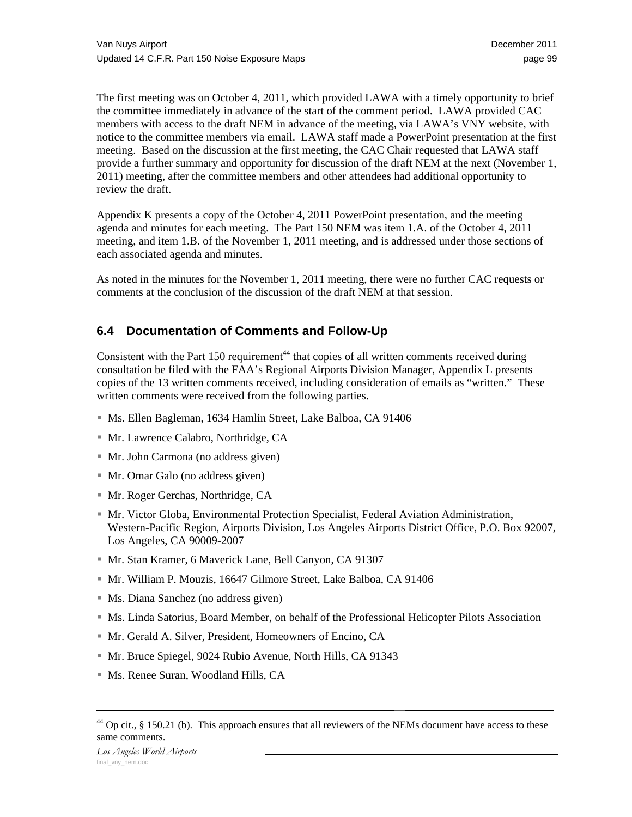The first meeting was on October 4, 2011, which provided LAWA with a timely opportunity to brief the committee immediately in advance of the start of the comment period. LAWA provided CAC members with access to the draft NEM in advance of the meeting, via LAWA's VNY website, with notice to the committee members via email. LAWA staff made a PowerPoint presentation at the first meeting. Based on the discussion at the first meeting, the CAC Chair requested that LAWA staff provide a further summary and opportunity for discussion of the draft NEM at the next (November 1, 2011) meeting, after the committee members and other attendees had additional opportunity to review the draft.

Appendix K presents a copy of the October 4, 2011 PowerPoint presentation, and the meeting agenda and minutes for each meeting. The Part 150 NEM was item 1.A. of the October 4, 2011 meeting, and item 1.B. of the November 1, 2011 meeting, and is addressed under those sections of each associated agenda and minutes.

As noted in the minutes for the November 1, 2011 meeting, there were no further CAC requests or comments at the conclusion of the discussion of the draft NEM at that session.

# **6.4 Documentation of Comments and Follow-Up**

Consistent with the Part 150 requirement<sup>44</sup> that copies of all written comments received during consultation be filed with the FAA's Regional Airports Division Manager, Appendix L presents copies of the 13 written comments received, including consideration of emails as "written." These written comments were received from the following parties.

- Ms. Ellen Bagleman, 1634 Hamlin Street, Lake Balboa, CA 91406
- Mr. Lawrence Calabro, Northridge, CA
- Mr. John Carmona (no address given)
- Mr. Omar Galo (no address given)
- Mr. Roger Gerchas, Northridge, CA
- **Mr. Victor Globa, Environmental Protection Specialist, Federal Aviation Administration,** Western-Pacific Region, Airports Division, Los Angeles Airports District Office, P.O. Box 92007, Los Angeles, CA 90009-2007
- Mr. Stan Kramer, 6 Maverick Lane, Bell Canyon, CA 91307
- Mr. William P. Mouzis, 16647 Gilmore Street, Lake Balboa, CA 91406
- Ms. Diana Sanchez (no address given)
- Ms. Linda Satorius, Board Member, on behalf of the Professional Helicopter Pilots Association
- Mr. Gerald A. Silver, President, Homeowners of Encino, CA
- Mr. Bruce Spiegel, 9024 Rubio Avenue, North Hills, CA 91343
- Ms. Renee Suran, Woodland Hills, CA

 $44$  Op cit., § 150.21 (b). This approach ensures that all reviewers of the NEMs document have access to these same comments.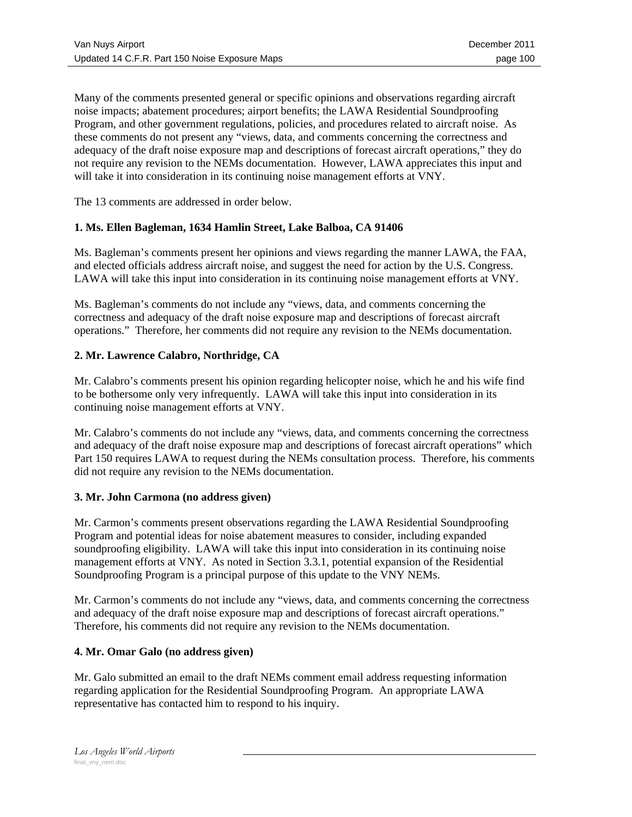Many of the comments presented general or specific opinions and observations regarding aircraft noise impacts; abatement procedures; airport benefits; the LAWA Residential Soundproofing Program, and other government regulations, policies, and procedures related to aircraft noise. As these comments do not present any "views, data, and comments concerning the correctness and adequacy of the draft noise exposure map and descriptions of forecast aircraft operations," they do not require any revision to the NEMs documentation. However, LAWA appreciates this input and will take it into consideration in its continuing noise management efforts at VNY.

The 13 comments are addressed in order below.

#### **1. Ms. Ellen Bagleman, 1634 Hamlin Street, Lake Balboa, CA 91406**

Ms. Bagleman's comments present her opinions and views regarding the manner LAWA, the FAA, and elected officials address aircraft noise, and suggest the need for action by the U.S. Congress. LAWA will take this input into consideration in its continuing noise management efforts at VNY.

Ms. Bagleman's comments do not include any "views, data, and comments concerning the correctness and adequacy of the draft noise exposure map and descriptions of forecast aircraft operations." Therefore, her comments did not require any revision to the NEMs documentation.

#### **2. Mr. Lawrence Calabro, Northridge, CA**

Mr. Calabro's comments present his opinion regarding helicopter noise, which he and his wife find to be bothersome only very infrequently. LAWA will take this input into consideration in its continuing noise management efforts at VNY.

Mr. Calabro's comments do not include any "views, data, and comments concerning the correctness and adequacy of the draft noise exposure map and descriptions of forecast aircraft operations" which Part 150 requires LAWA to request during the NEMs consultation process. Therefore, his comments did not require any revision to the NEMs documentation.

#### **3. Mr. John Carmona (no address given)**

Mr. Carmon's comments present observations regarding the LAWA Residential Soundproofing Program and potential ideas for noise abatement measures to consider, including expanded soundproofing eligibility. LAWA will take this input into consideration in its continuing noise management efforts at VNY. As noted in Section 3.3.1, potential expansion of the Residential Soundproofing Program is a principal purpose of this update to the VNY NEMs.

Mr. Carmon's comments do not include any "views, data, and comments concerning the correctness and adequacy of the draft noise exposure map and descriptions of forecast aircraft operations." Therefore, his comments did not require any revision to the NEMs documentation.

#### **4. Mr. Omar Galo (no address given)**

Mr. Galo submitted an email to the draft NEMs comment email address requesting information regarding application for the Residential Soundproofing Program. An appropriate LAWA representative has contacted him to respond to his inquiry.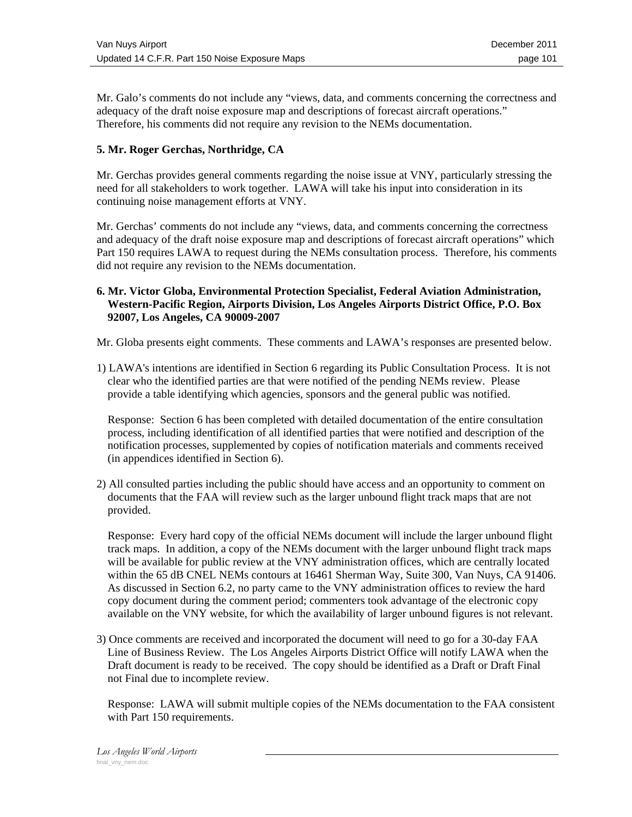Mr. Galo's comments do not include any "views, data, and comments concerning the correctness and adequacy of the draft noise exposure map and descriptions of forecast aircraft operations." Therefore, his comments did not require any revision to the NEMs documentation.

#### **5. Mr. Roger Gerchas, Northridge, CA**

Mr. Gerchas provides general comments regarding the noise issue at VNY, particularly stressing the need for all stakeholders to work together. LAWA will take his input into consideration in its continuing noise management efforts at VNY.

Mr. Gerchas' comments do not include any "views, data, and comments concerning the correctness and adequacy of the draft noise exposure map and descriptions of forecast aircraft operations" which Part 150 requires LAWA to request during the NEMs consultation process. Therefore, his comments did not require any revision to the NEMs documentation.

#### **6. Mr. Victor Globa, Environmental Protection Specialist, Federal Aviation Administration, Western-Pacific Region, Airports Division, Los Angeles Airports District Office, P.O. Box 92007, Los Angeles, CA 90009-2007**

Mr. Globa presents eight comments. These comments and LAWA's responses are presented below.

1) LAWA's intentions are identified in Section 6 regarding its Public Consultation Process. It is not clear who the identified parties are that were notified of the pending NEMs review. Please provide a table identifying which agencies, sponsors and the general public was notified.

Response: Section 6 has been completed with detailed documentation of the entire consultation process, including identification of all identified parties that were notified and description of the notification processes, supplemented by copies of notification materials and comments received (in appendices identified in Section 6).

2) All consulted parties including the public should have access and an opportunity to comment on documents that the FAA will review such as the larger unbound flight track maps that are not provided.

Response: Every hard copy of the official NEMs document will include the larger unbound flight track maps. In addition, a copy of the NEMs document with the larger unbound flight track maps will be available for public review at the VNY administration offices, which are centrally located within the 65 dB CNEL NEMs contours at 16461 Sherman Way, Suite 300, Van Nuys, CA 91406. As discussed in Section 6.2, no party came to the VNY administration offices to review the hard copy document during the comment period; commenters took advantage of the electronic copy available on the VNY website, for which the availability of larger unbound figures is not relevant.

3) Once comments are received and incorporated the document will need to go for a 30-day FAA Line of Business Review. The Los Angeles Airports District Office will notify LAWA when the Draft document is ready to be received. The copy should be identified as a Draft or Draft Final not Final due to incomplete review.

Response: LAWA will submit multiple copies of the NEMs documentation to the FAA consistent with Part 150 requirements.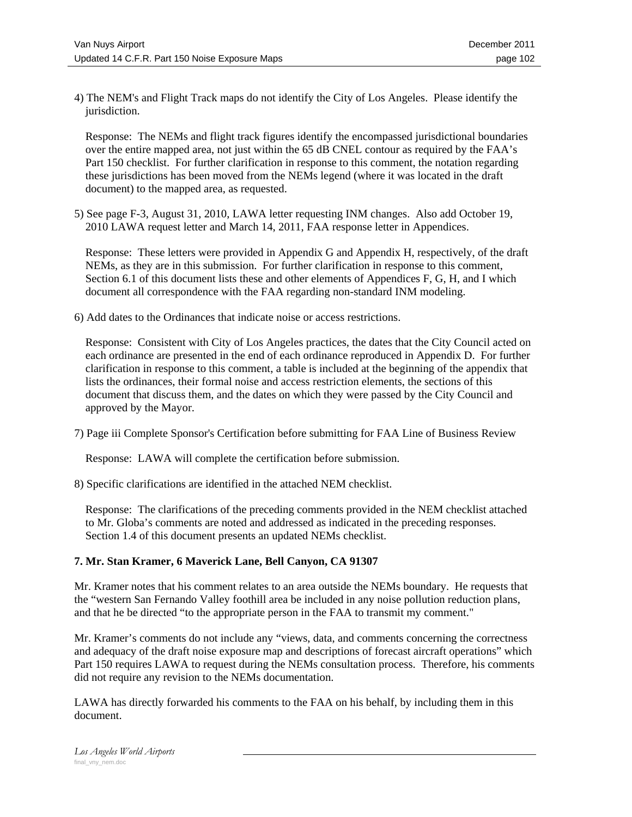4) The NEM's and Flight Track maps do not identify the City of Los Angeles. Please identify the jurisdiction.

Response: The NEMs and flight track figures identify the encompassed jurisdictional boundaries over the entire mapped area, not just within the 65 dB CNEL contour as required by the FAA's Part 150 checklist. For further clarification in response to this comment, the notation regarding these jurisdictions has been moved from the NEMs legend (where it was located in the draft document) to the mapped area, as requested.

5) See page F-3, August 31, 2010, LAWA letter requesting INM changes. Also add October 19, 2010 LAWA request letter and March 14, 2011, FAA response letter in Appendices.

Response: These letters were provided in Appendix G and Appendix H, respectively, of the draft NEMs, as they are in this submission. For further clarification in response to this comment, Section 6.1 of this document lists these and other elements of Appendices F, G, H, and I which document all correspondence with the FAA regarding non-standard INM modeling.

6) Add dates to the Ordinances that indicate noise or access restrictions.

Response: Consistent with City of Los Angeles practices, the dates that the City Council acted on each ordinance are presented in the end of each ordinance reproduced in Appendix D. For further clarification in response to this comment, a table is included at the beginning of the appendix that lists the ordinances, their formal noise and access restriction elements, the sections of this document that discuss them, and the dates on which they were passed by the City Council and approved by the Mayor.

7) Page iii Complete Sponsor's Certification before submitting for FAA Line of Business Review

Response: LAWA will complete the certification before submission.

8) Specific clarifications are identified in the attached NEM checklist.

Response: The clarifications of the preceding comments provided in the NEM checklist attached to Mr. Globa's comments are noted and addressed as indicated in the preceding responses. Section 1.4 of this document presents an updated NEMs checklist.

#### **7. Mr. Stan Kramer, 6 Maverick Lane, Bell Canyon, CA 91307**

Mr. Kramer notes that his comment relates to an area outside the NEMs boundary. He requests that the "western San Fernando Valley foothill area be included in any noise pollution reduction plans, and that he be directed "to the appropriate person in the FAA to transmit my comment."

Mr. Kramer's comments do not include any "views, data, and comments concerning the correctness and adequacy of the draft noise exposure map and descriptions of forecast aircraft operations" which Part 150 requires LAWA to request during the NEMs consultation process. Therefore, his comments did not require any revision to the NEMs documentation.

LAWA has directly forwarded his comments to the FAA on his behalf, by including them in this document.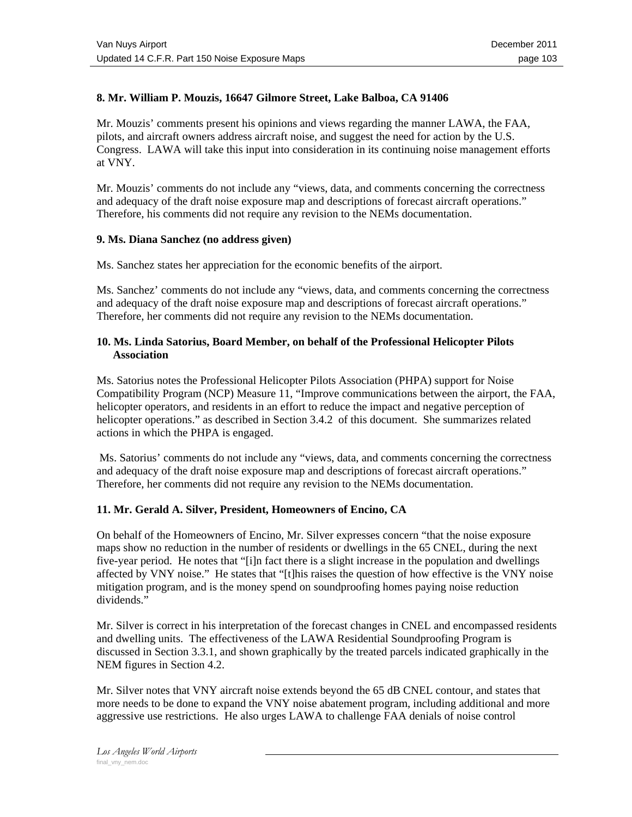#### **8. Mr. William P. Mouzis, 16647 Gilmore Street, Lake Balboa, CA 91406**

Mr. Mouzis' comments present his opinions and views regarding the manner LAWA, the FAA, pilots, and aircraft owners address aircraft noise, and suggest the need for action by the U.S. Congress. LAWA will take this input into consideration in its continuing noise management efforts at VNY.

Mr. Mouzis' comments do not include any "views, data, and comments concerning the correctness and adequacy of the draft noise exposure map and descriptions of forecast aircraft operations." Therefore, his comments did not require any revision to the NEMs documentation.

#### **9. Ms. Diana Sanchez (no address given)**

Ms. Sanchez states her appreciation for the economic benefits of the airport.

Ms. Sanchez' comments do not include any "views, data, and comments concerning the correctness and adequacy of the draft noise exposure map and descriptions of forecast aircraft operations." Therefore, her comments did not require any revision to the NEMs documentation.

#### **10. Ms. Linda Satorius, Board Member, on behalf of the Professional Helicopter Pilots Association**

Ms. Satorius notes the Professional Helicopter Pilots Association (PHPA) support for Noise Compatibility Program (NCP) Measure 11, "Improve communications between the airport, the FAA, helicopter operators, and residents in an effort to reduce the impact and negative perception of helicopter operations." as described in Section 3.4.2 of this document. She summarizes related actions in which the PHPA is engaged.

 Ms. Satorius' comments do not include any "views, data, and comments concerning the correctness and adequacy of the draft noise exposure map and descriptions of forecast aircraft operations." Therefore, her comments did not require any revision to the NEMs documentation.

#### **11. Mr. Gerald A. Silver, President, Homeowners of Encino, CA**

On behalf of the Homeowners of Encino, Mr. Silver expresses concern "that the noise exposure maps show no reduction in the number of residents or dwellings in the 65 CNEL, during the next five-year period. He notes that "[i]n fact there is a slight increase in the population and dwellings affected by VNY noise." He states that "[t]his raises the question of how effective is the VNY noise mitigation program, and is the money spend on soundproofing homes paying noise reduction dividends."

Mr. Silver is correct in his interpretation of the forecast changes in CNEL and encompassed residents and dwelling units. The effectiveness of the LAWA Residential Soundproofing Program is discussed in Section 3.3.1, and shown graphically by the treated parcels indicated graphically in the NEM figures in Section 4.2.

Mr. Silver notes that VNY aircraft noise extends beyond the 65 dB CNEL contour, and states that more needs to be done to expand the VNY noise abatement program, including additional and more aggressive use restrictions. He also urges LAWA to challenge FAA denials of noise control